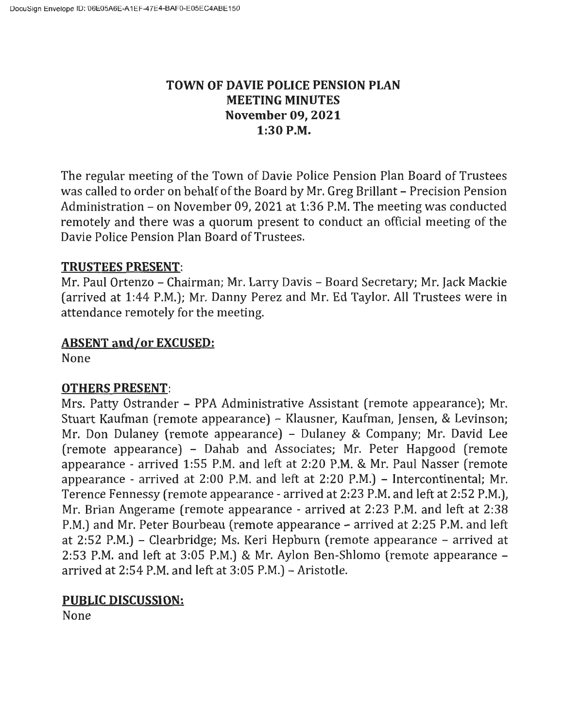# **TOWN OF DAVIE POLICE PENSION PLAN MEETING MINUTES November 09, 2021 1:30 P.M.**

The regular meeting of the Town of Davie Police Pension Plan Board of Trustees was called to order on behalf of the Board by Mr. Greg Brillant - Precision Pension Administration - on November 09, 2021 at 1:36 P.M. The meeting was conducted remotely and there was a quorum present to conduct an official meeting of the Davie Police Pension Plan Board of Trustees.

### **TRUSTEES PRESENT:**

Mr. Paul Ortenzo - Chairman; Mr. Larry Davis - Board Secretary; Mr. Jack Mackie (arrived at 1:44 P.M.); Mr. Danny Perez and Mr. Ed Taylor. All Trustees were in attendance remotely for the meeting.

## **ABSENT and/or EXCUSED:**

None

## **OTHERS PRESENT:**

Mrs. Patty Ostrander - PPA Administrative Assistant (remote appearance); Mr. Stuart Kaufman (remote appearance) - Klausner, Kaufman, Jensen, & Levinson; Mr. Don Dulaney (remote appearance) - Dulaney & Company; Mr. David Lee (remote appearance) - Dahab and Associates; Mr. Peter Hapgood (remote appearance - arrived 1:55 P.M. and left at 2:20 P.M. & Mr. Paul Nasser (remote appearance - arrived at 2:00 P.M. and left at 2:20 P.M.) - Intercontinental; Mr. Terence Fennessy (remote appearance - arrived at 2:23 P.M. and left at 2:52 P.M.), Mr. Brian Angerame (remote appearance - arrived at 2:23 P.M. and left at 2:38 P.M.) and Mr. Peter Bourbeau (remote appearance – arrived at 2:25 P.M. and left at 2:52 P.M.) - Clearbridge; Ms. Keri Hepburn (remote appearance - arrived at 2:53 P.M. and left at 3:05 P.M.) & Mr. Aylon Ben-Shlomo (remote appearance arrived at 2:54 P.M. and left at 3:05 P.M.) - Aristotle.

## **PUBLIC DISCUSSION:**

None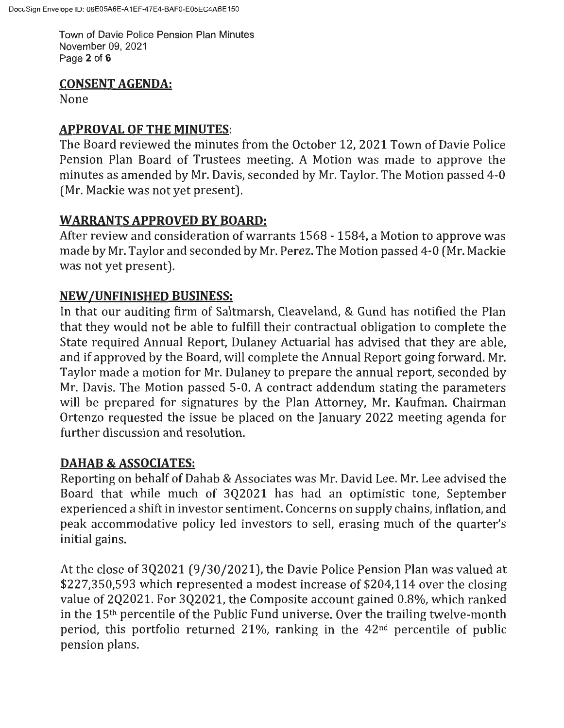Town of Davie Police Pension Plan Minutes November 09, 2021 Page **2** of **6** 

## **CONSENT AGENDA:**

None

## **APPROVAL OF THE MINUTES:**

The Board reviewed the minutes from the October 12, 2021 Town of Davie Police Pension Plan Board of Trustees meeting. A Motion was made to approve the minutes as amended by Mr. Davis, seconded by Mr. Taylor. The Motion passed 4-0 (Mr. Mackie was not yet present).

# **WARRANTS APPROVED BY BOARD:**

After review and consideration of warrants 1568 - 1584, a Motion to approve was made by Mr. Taylor and seconded by Mr. Perez. The Motion passed 4-0 (Mr. Mackie was not yet present).

# **NEW /UNFINISHED BUSINESS:**

In that our auditing firm of Saltmarsh, Cleaveland, & Gund has notified the Plan that they would not be able to fulfill their contractual obligation to complete the State required Annual Report, Dulaney Actuarial has advised that they are able, and if approved by the Board, will complete the Annual Report going forward. Mr. Taylor made a motion for Mr. Dulaney to prepare the annual report, seconded by Mr. Davis. The Motion passed 5-0. A contract addendum stating the parameters will be prepared for signatures by the Plan Attorney, Mr. Kaufman. Chairman Ortenzo requested the issue be placed on the January 2022 meeting agenda for further discussion and resolution.

# **DAHAB & ASSOCIATES:**

Reporting on behalf of Dahab & Associates was Mr. David Lee. Mr. Lee advised the Board that while much of 3Q2021 has had an optimistic tone, September experienced a shift in investor sentiment. Concerns on supply chains, inflation, and peak accommodative policy led investors to sell, erasing much of the quarter's initial gains.

At the close of 3Q2021 (9/30/2021), the Davie Police Pension Plan was valued at \$227,350,593 which represented a modest increase of \$204,114 over the closing value of 2Q2021. For 3Q2021, the Composite account gained 0.8%, which ranked in the 15th percentile of the Public Fund universe. Over the trailing twelve-month period, this portfolio returned  $21\%$ , ranking in the  $42<sup>nd</sup>$  percentile of public pension plans.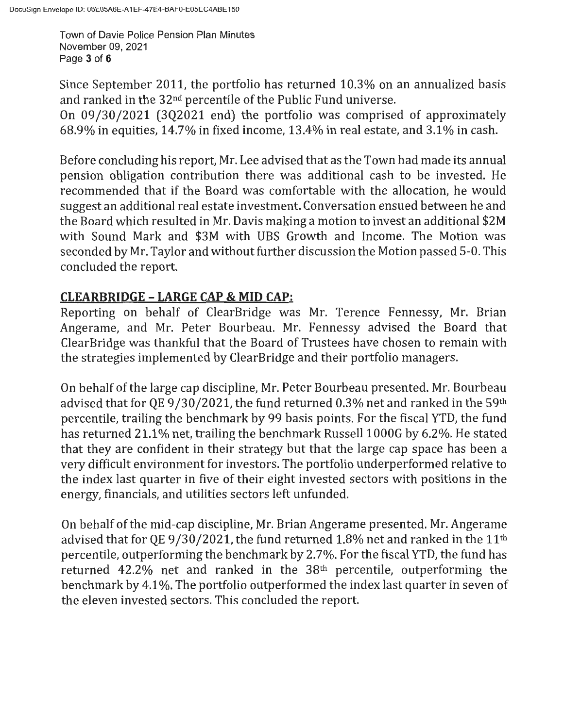Town of Davie Police Pension Plan Minutes November 09, 2021 Page **3** of **6** 

Since September 2011, the portfolio has returned 10.3% on an annualized basis and ranked in the 32nd percentile of the Public Fund universe.

On 09/30/2021 (3Q2021 end) the portfolio was comprised of approximately 68.9% in equities, 14.7% in fixed income, 13.4% in real estate, and 3.1 % in cash.

Before concluding his report, Mr. Lee advised that as the Town had made its annual pension obligation contribution there was additional cash to be invested. He recommended that if the Board was comfortable with the allocation, he would suggest an additional real estate investment. Conversation ensued between he and the Board which resulted in Mr. Davis making a motion to invest an additional \$2M with Sound Mark and \$3M with UBS Growth and Income. The Motion was seconded by Mr. Taylor and without further discussion the Motion passed 5-0. This concluded the report.

# **CLEARBRIDGE - LARGE CAP & MID CAP:**

Reporting on behalf of ClearBridge was Mr. Terence Fennessy, Mr. Brian Angerame, and Mr. Peter Bourbeau. Mr. Fennessy advised the Board that ClearBridge was thankful that the Board of Trustees have chosen to remain with the strategies implemented by ClearBridge and their portfolio managers.

On behalf of the large cap discipline, Mr. Peter Bourbeau presented. Mr. Bourbeau advised that for QE 9/30/2021, the fund returned 0.3% net and ranked in the 59th percentile, trailing the benchmark by 99 basis points. For the fiscal YTD, the fund has returned 21.1% net, trailing the benchmark Russell 1000G by 6.2%. He stated that they are confident in their strategy but that the large cap space has been a very difficult environment for investors. The portfolio underperformed relative to the index last quarter in five of their eight invested sectors with positions in the energy, financials, and utilities sectors left unfunded.

On behalf of the mid-cap discipline, Mr. Brian Angerame presented. Mr. Angerame advised that for QE 9/30/2021, the fund returned 1.8% net and ranked in the  $11<sup>th</sup>$ percentile, outperforming the benchmark by 2.7%. For the fiscal YTD, the fund has returned  $42.2\%$  net and ranked in the  $38<sup>th</sup>$  percentile, outperforming the benchmark by 4.1 %. The portfolio outperformed the index last quarter in seven of the eleven invested sectors. This concluded the report.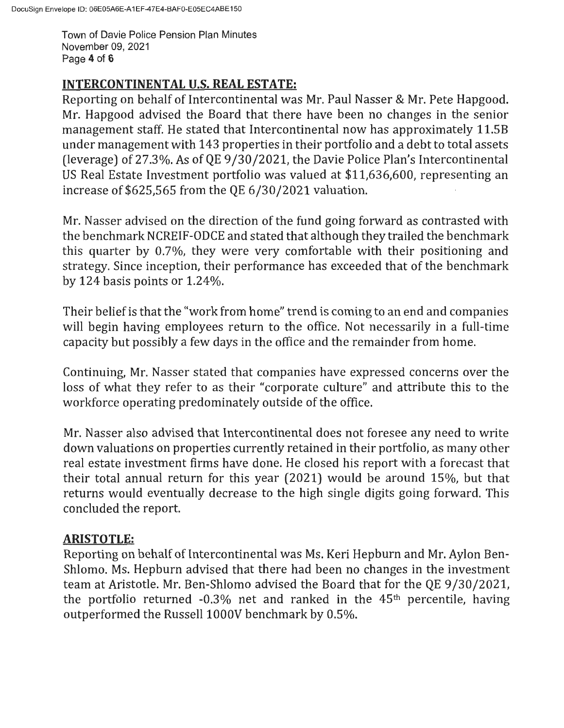Town of Davie Police Pension Plan Minutes November 09, 2021 Page **4** of **6** 

## **INTERCONTINENTAL U.S. REAL ESTATE:**

Reporting on behalf of Intercontinental was Mr. Paul Nasser & Mr. Pete Hapgood. Mr. Hapgood advised the Board that there have been no changes in the senior management staff. He stated that Intercontinental now has approximately 11.SB under management with 143 properties in their portfolio and a debt to total assets (leverage) of 27.3%. As of QE  $9/30/2021$ , the Davie Police Plan's Intercontinental US Real Estate Investment portfolio was valued at \$11,636,600, representing an increase of \$625,565 from the QE 6/30/2021 valuation.

Mr. Nasser advised on the direction of the fund going forward as contrasted with the benchmark NCREIF-ODCE and stated that although they trailed the benchmark this quarter by 0.7%, they were very comfortable with their positioning and strategy. Since inception, their performance has exceeded that of the benchmark by 124 basis points or 1.24%.

Their belief is that the "work from home" trend is coming to an end and companies will begin having employees return to the office. Not necessarily in a full-time capacity but possibly a few days in the office and the remainder from home.

Continuing, Mr. Nasser stated that companies have expressed concerns over the loss of what they refer to as their "corporate culture" and attribute this to the workforce operating predominately outside of the office.

Mr. Nasser also advised that Intercontinental does not foresee any need to write down valuations on properties currently retained in their portfolio, as many other real estate investment firms have done. He closed his report with a forecast that their total annual return for this year (2021) would be around 15%, but that returns would eventually decrease to the high single digits going forward. This concluded the report.

# **ARISTOTLE:**

Reporting on behalf of Intercontinental was Ms. Keri Hepburn and Mr. Aylon Ben-Shlomo. Ms. Hepburn advised that there had been no changes in the investment team at Aristotle. Mr. Ben-Shlomo advised the Board that for the QE 9/30/2021, the portfolio returned  $-0.3\%$  net and ranked in the  $45<sup>th</sup>$  percentile, having outperformed the Russell 1000V benchmark by 0.5%.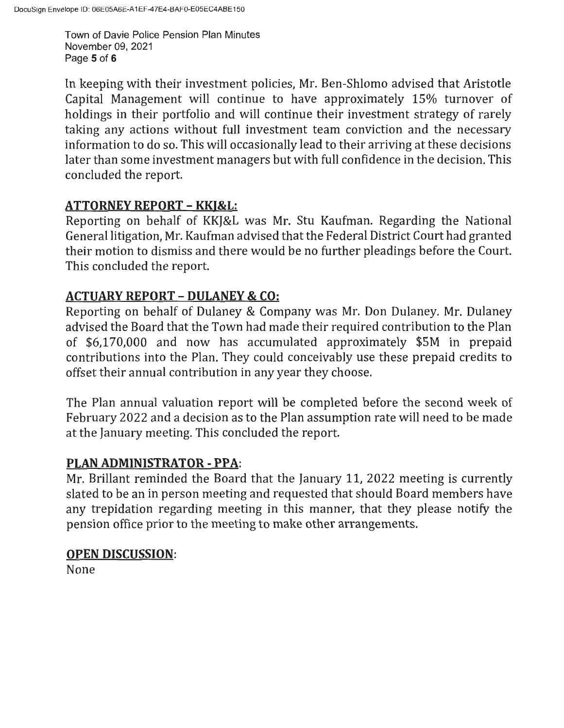Town of Davie Police Pension Plan Minutes November 09, 2021 Page **5** of **6** 

In keeping with their investment policies, Mr. Ben-Shlomo advised that Aristotle Capital Management will continue to have approximately 15% turnover of holdings in their portfolio and will continue their investment strategy of rarely taking any actions without full investment team conviction and the necessary information to do so. This will occasionally lead to their arriving at these decisions later than some investment managers but with full confidence in the decision. This concluded the report.

## **ATTORNEY REPORT - KKJ&L:**

Reporting on behalf of KKJ&L was Mr. Stu Kaufman. Regarding the National General litigation, Mr. Kaufman advised that the Federal District Court had granted their motion to dismiss and there would be no further pleadings before the Court. This concluded the report.

# **ACTUARY REPORT - DULANEY & CO:**

Reporting on behalf of Dulaney & Company was Mr. Don Dulaney. Mr. Dulaney advised the Board that the Town had made their required contribution to the Plan of \$6,170,000 and now has accumulated approximately \$SM in prepaid contributions into the Plan. They could conceivably use these prepaid credits to offset their annual contribution in any year they choose.

The Plan annual valuation report will be completed before the second week of February 2022 and a decision as to the Plan assumption rate will need to be made at the January meeting. This concluded the report.

## **PLAN ADMINISTRATOR- PPA:**

Mr. Brillant reminded the Board that the January 11, 2022 meeting is currently slated to be an in person meeting and requested that should Board members have any trepidation regarding meeting in this manner, that they please notify the pension office prior to the meeting to make other arrangements.

### **OPEN DISCUSSION:**

None